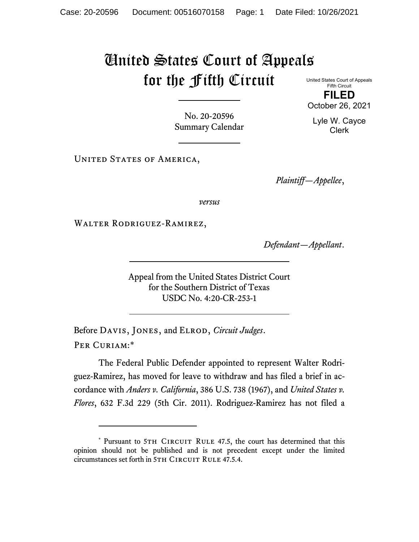## United States Court of Appeals for the Fifth Circuit

United States Court of Appeals Fifth Circuit **FILED** October 26, 2021

No. 20-20596 Summary Calendar

UNITED STATES OF AMERICA,

*Plaintiff—Appellee*,

*versus*

Walter Rodriguez-Ramirez,

*Defendant—Appellant*.

Appeal from the United States District Court for the Southern District of Texas USDC No. 4:20-CR-253-1

Before Davis, Jones, and Elrod, *Circuit Judges*. Per Curiam:[\\*](#page-0-0)

The Federal Public Defender appointed to represent Walter Rodriguez-Ramirez, has moved for leave to withdraw and has filed a brief in accordance with *Anders v. California*, 386 U.S. 738 (1967), and *United States v. Flores*, 632 F.3d 229 (5th Cir. 2011). Rodriguez-Ramirez has not filed a

Lyle W. Cayce Clerk

<span id="page-0-0"></span><sup>\*</sup> Pursuant to 5TH CIRCUIT RULE 47.5, the court has determined that this opinion should not be published and is not precedent except under the limited circumstances set forth in 5TH CIRCUIT RULE 47.5.4.